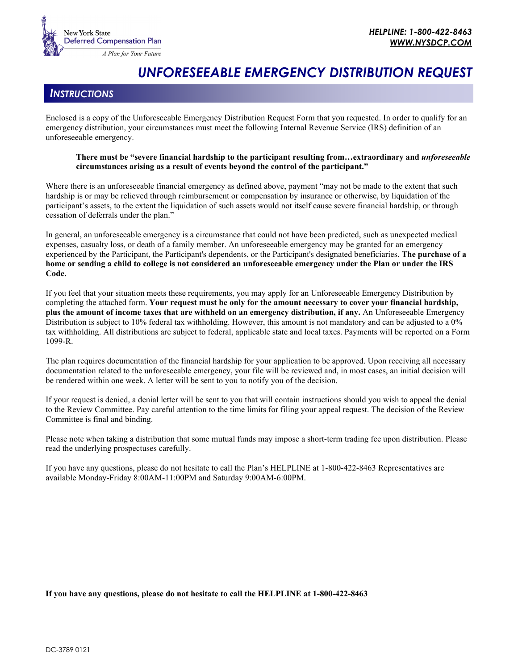

# *UNFORESEEABLE EMERGENCY DISTRIBUTION REQUEST*

# *INSTRUCTIONS*

Enclosed is a copy of the Unforeseeable Emergency Distribution Request Form that you requested. In order to qualify for an emergency distribution, your circumstances must meet the following Internal Revenue Service (IRS) definition of an unforeseeable emergency.

#### **There must be "severe financial hardship to the participant resulting from…extraordinary and** *unforeseeable*  **circumstances arising as a result of events beyond the control of the participant."**

Where there is an unforeseeable financial emergency as defined above, payment "may not be made to the extent that such hardship is or may be relieved through reimbursement or compensation by insurance or otherwise, by liquidation of the participant's assets, to the extent the liquidation of such assets would not itself cause severe financial hardship, or through cessation of deferrals under the plan."

In general, an unforeseeable emergency is a circumstance that could not have been predicted, such as unexpected medical expenses, casualty loss, or death of a family member. An unforeseeable emergency may be granted for an emergency experienced by the Participant, the Participant's dependents, or the Participant's designated beneficiaries. **The purchase of a home or sending a child to college is not considered an unforeseeable emergency under the Plan or under the IRS Code.**

If you feel that your situation meets these requirements, you may apply for an Unforeseeable Emergency Distribution by completing the attached form. **Your request must be only for the amount necessary to cover your financial hardship, plus the amount of income taxes that are withheld on an emergency distribution, if any.** An Unforeseeable Emergency Distribution is subject to 10% federal tax withholding. However, this amount is not mandatory and can be adjusted to a 0% tax withholding. All distributions are subject to federal, applicable state and local taxes. Payments will be reported on a Form 1099-R.

The plan requires documentation of the financial hardship for your application to be approved. Upon receiving all necessary documentation related to the unforeseeable emergency, your file will be reviewed and, in most cases, an initial decision will be rendered within one week. A letter will be sent to you to notify you of the decision.

If your request is denied, a denial letter will be sent to you that will contain instructions should you wish to appeal the denial to the Review Committee. Pay careful attention to the time limits for filing your appeal request. The decision of the Review Committee is final and binding.

Please note when taking a distribution that some mutual funds may impose a short-term trading fee upon distribution. Please read the underlying prospectuses carefully.

If you have any questions, please do not hesitate to call the Plan's HELPLINE at 1-800-422-8463 Representatives are available Monday-Friday 8:00AM-11:00PM and Saturday 9:00AM-6:00PM.

#### **If you have any questions, please do not hesitate to call the HELPLINE at 1-800-422-8463**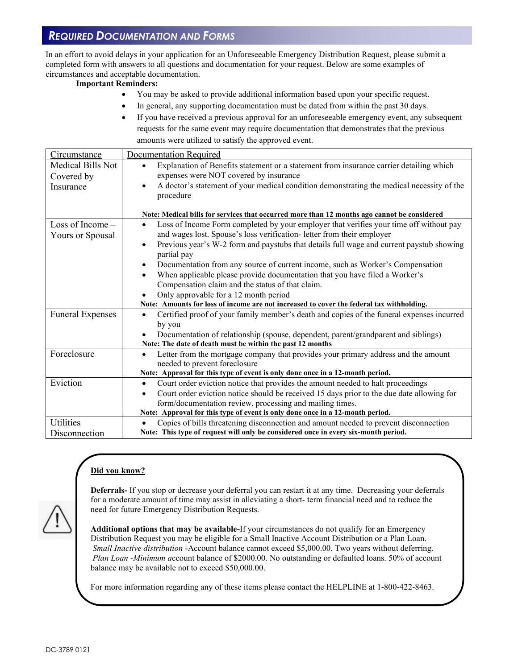# *REQUIRED DOCUMENTATION AND FORMS*

In an effort to avoid delays in your application for an Unforeseeable Emergency Distribution Request, please submit a completed form with answers to all questions and documentation for your request. Below are some examples of circumstances and acceptable documentation.

#### **Important Reminders:**

- You may be asked to provide additional information based upon your specific request.
	- In general, any supporting documentation must be dated from within the past 30 days.
- If you have received a previous approval for an unforeseeable emergency event, any subsequent requests for the same event may require documentation that demonstrates that the previous amounts were utilized to satisfy the approved event.

| Circumstance                    | Documentation Required                                                                                                                         |  |  |  |  |  |  |  |  |
|---------------------------------|------------------------------------------------------------------------------------------------------------------------------------------------|--|--|--|--|--|--|--|--|
| Medical Bills Not<br>Covered by | Explanation of Benefits statement or a statement from insurance carrier detailing which<br>$\bullet$<br>expenses were NOT covered by insurance |  |  |  |  |  |  |  |  |
| Insurance                       | A doctor's statement of your medical condition demonstrating the medical necessity of the<br>procedure                                         |  |  |  |  |  |  |  |  |
|                                 | Note: Medical bills for services that occurred more than 12 months ago cannot be considered                                                    |  |  |  |  |  |  |  |  |
| Loss of Income $-$              | Loss of Income Form completed by your employer that verifies your time off without pay<br>$\bullet$                                            |  |  |  |  |  |  |  |  |
| Yours or Spousal                | and wages lost. Spouse's loss verification- letter from their employer                                                                         |  |  |  |  |  |  |  |  |
|                                 | Previous year's W-2 form and paystubs that details full wage and current paystub showing<br>partial pay                                        |  |  |  |  |  |  |  |  |
|                                 | Documentation from any source of current income, such as Worker's Compensation<br>٠                                                            |  |  |  |  |  |  |  |  |
|                                 | When applicable please provide documentation that you have filed a Worker's<br>$\bullet$                                                       |  |  |  |  |  |  |  |  |
|                                 | Compensation claim and the status of that claim.                                                                                               |  |  |  |  |  |  |  |  |
|                                 | Only approvable for a 12 month period                                                                                                          |  |  |  |  |  |  |  |  |
|                                 | Note: Amounts for loss of income are not increased to cover the federal tax withholding.                                                       |  |  |  |  |  |  |  |  |
| <b>Funeral Expenses</b>         | Certified proof of your family member's death and copies of the funeral expenses incurred                                                      |  |  |  |  |  |  |  |  |
|                                 | by you                                                                                                                                         |  |  |  |  |  |  |  |  |
|                                 | Documentation of relationship (spouse, dependent, parent/grandparent and siblings)                                                             |  |  |  |  |  |  |  |  |
|                                 | Note: The date of death must be within the past 12 months                                                                                      |  |  |  |  |  |  |  |  |
| Foreclosure                     | Letter from the mortgage company that provides your primary address and the amount<br>٠<br>needed to prevent foreclosure                       |  |  |  |  |  |  |  |  |
|                                 | Note: Approval for this type of event is only done once in a 12-month period.                                                                  |  |  |  |  |  |  |  |  |
| Eviction                        | Court order eviction notice that provides the amount needed to halt proceedings<br>٠                                                           |  |  |  |  |  |  |  |  |
|                                 | Court order eviction notice should be received 15 days prior to the due date allowing for                                                      |  |  |  |  |  |  |  |  |
|                                 | form/documentation review, processing and mailing times.                                                                                       |  |  |  |  |  |  |  |  |
|                                 | Note: Approval for this type of event is only done once in a 12-month period.                                                                  |  |  |  |  |  |  |  |  |
| <b>Utilities</b>                | Copies of bills threatening disconnection and amount needed to prevent disconnection                                                           |  |  |  |  |  |  |  |  |
| Disconnection                   | Note: This type of request will only be considered once in every six-month period.                                                             |  |  |  |  |  |  |  |  |

# **Did you know?**



**Deferrals-** If you stop or decrease your deferral you can restart it at any time. Decreasing your deferrals for a moderate amount of time may assist in alleviating a short- term financial need and to reduce the need for future Emergency Distribution Requests.

**Additional options that may be available-**If your circumstances do not qualify for an Emergency Distribution Request you may be eligible for a Small Inactive Account Distribution or a Plan Loan. *Small Inactive distribution* -Account balance cannot exceed \$5,000.00. Two years without deferring. *Plan Loan -Minimum a*ccount balance of \$2000.00. No outstanding or defaulted loans. 50% of account balance may be available not to exceed \$50,000.00.

For more information regarding any of these items please contact the HELPLINE at 1-800-422-8463.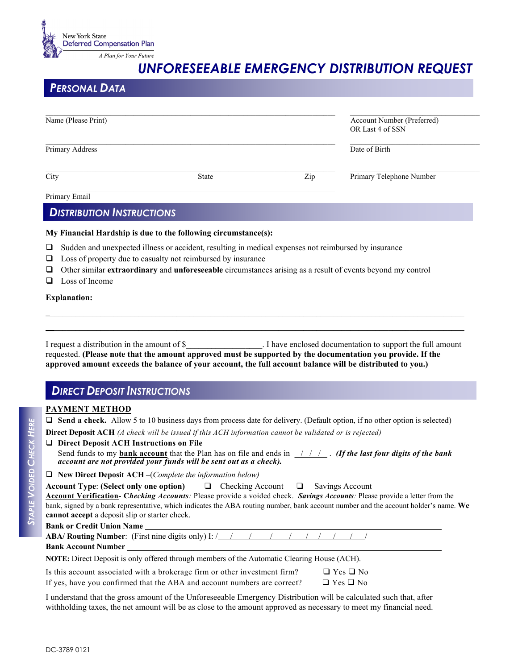

# *UNFORESEEABLE EMERGENCY DISTRIBUTION REQUEST*

# *PERSONAL DATA*

| Name (Please Print) | Account Number (Preferred)<br>OR Last 4 of SSN |     |                          |  |  |
|---------------------|------------------------------------------------|-----|--------------------------|--|--|
| Primary Address     |                                                |     | Date of Birth            |  |  |
| City                | State                                          | Zip | Primary Telephone Number |  |  |
| Primary Email       |                                                |     |                          |  |  |

## *DISTRIBUTION INSTRUCTIONS*

#### **My Financial Hardship is due to the following circumstance(s):**

- $\Box$  Sudden and unexpected illness or accident, resulting in medical expenses not reimbursed by insurance
- $\Box$  Loss of property due to casualty not reimbursed by insurance
- Other similar **extraordinary** and **unforeseeable** circumstances arising as a result of events beyond my control
- $\Box$  Loss of Income

#### **Explanation:**

| I request a distribution in the amount of \$                                                                | . I have enclosed documentation to support the full amount |
|-------------------------------------------------------------------------------------------------------------|------------------------------------------------------------|
| requested. (Please note that the amount approved must be supported by the documentation you provide. If the |                                                            |
| approved amount exceeds the balance of your account, the full account balance will be distributed to you.)  |                                                            |

**\_**\_\_\_\_\_\_\_\_\_\_\_\_\_\_\_\_\_\_\_\_\_\_\_\_\_\_\_\_\_\_\_\_\_\_\_\_\_\_\_\_\_\_\_\_\_\_\_\_\_\_\_\_\_\_\_\_\_\_\_\_\_\_\_\_\_\_\_\_\_\_\_\_\_\_\_\_\_\_\_\_\_\_\_\_\_\_\_\_\_\_\_\_\_\_\_\_\_\_ **\_\_**\_\_\_\_\_\_\_\_\_\_\_\_\_\_\_\_\_\_\_\_\_\_\_\_\_\_\_\_\_\_\_\_\_\_\_\_\_\_\_\_\_\_\_\_\_\_\_\_\_\_\_\_\_\_\_\_\_\_\_\_\_\_\_\_\_\_\_\_\_\_\_\_\_\_\_\_\_\_\_\_\_\_\_\_\_\_\_\_\_\_\_\_\_\_\_\_\_

# *DIRECT DEPOSIT INSTRUCTIONS*

#### **PAYMENT METHOD**

| $\Box$ Send a check. Allow 5 to 10 business days from process date for delivery. (Default option, if no other option is selected) |  |
|-----------------------------------------------------------------------------------------------------------------------------------|--|
|-----------------------------------------------------------------------------------------------------------------------------------|--|

**Direct Deposit ACH** *(A check will be issued if this ACH information cannot be validated or is rejected)*

| $\Box$ Direct Deposit ACH Instructions on File                                                                                                                                                           |
|----------------------------------------------------------------------------------------------------------------------------------------------------------------------------------------------------------|
| Send funds to my <b>bank account</b> that the Plan has on file and ends in $/$ / $/$ . ( <b>If the last four digits of the bank</b><br>account are not provided your funds will be sent out as a check). |

#### **New Direct Deposit ACH –**(*Complete the information below)*

**Account Type**: **(Select only one option)** ❑ Checking Account ❑ Savings Account **Account Verification- C***hecking Accounts:* Please provide a voided check. *Savings Accounts:* Please provide a letter from the bank, signed by a bank representative, which indicates the ABA routing number, bank account number and the account holder's name. **We cannot accept** a deposit slip or starter check.

#### **Bank or Credit Union Name**

|                            | <b>ABA/ Routing Number:</b> (First nine digits only) I: $\frac{1}{2}$ / / / / / / / / / / / / / |  |  |  |  |  |
|----------------------------|-------------------------------------------------------------------------------------------------|--|--|--|--|--|
| <b>Bank Account Number</b> |                                                                                                 |  |  |  |  |  |

**NOTE:** Direct Deposit is only offered through members of the Automatic Clearing House (ACH).

Is this account associated with a brokerage firm or other investment firm?  $\Box$  Yes  $\Box$  No If yes, have you confirmed that the ABA and account numbers are correct?  $\Box$  Yes  $\Box$  No If yes, have you confirmed that the ABA and account numbers are correct?

I understand that the gross amount of the Unforeseeable Emergency Distribution will be calculated such that, after withholding taxes, the net amount will be as close to the amount approved as necessary to meet my financial need.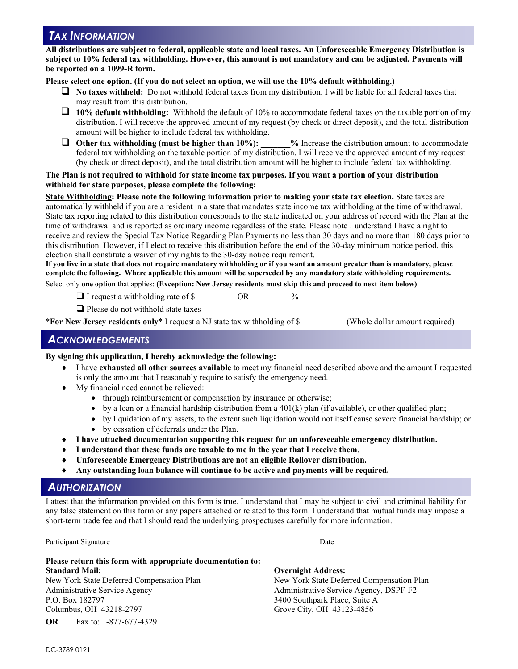## *TAX INFORMATION*

**All distributions are subject to federal, applicable state and local taxes. An Unforeseeable Emergency Distribution is subject to 10% federal tax withholding. However, this amount is not mandatory and can be adjusted. Payments will be reported on a 1099-R form.**

#### **Please select one option. (If you do not select an option, we will use the 10% default withholding.)**

- **No taxes withheld:** Do not withhold federal taxes from my distribution. I will be liable for all federal taxes that may result from this distribution.
- **10% default withholding:** Withhold the default of 10% to accommodate federal taxes on the taxable portion of my distribution. I will receive the approved amount of my request (by check or direct deposit), and the total distribution amount will be higher to include federal tax withholding.
- **Other tax withholding (must be higher than 10%):** % Increase the distribution amount to accommodate federal tax withholding on the taxable portion of my distribution. I will receive the approved amount of my request (by check or direct deposit), and the total distribution amount will be higher to include federal tax withholding.

#### **The Plan is not required to withhold for state income tax purposes. If you want a portion of your distribution withheld for state purposes, please complete the following:**

**State Withholding: Please note the following information prior to making your state tax election.** State taxes are automatically withheld if you are a resident in a state that mandates state income tax withholding at the time of withdrawal. State tax reporting related to this distribution corresponds to the state indicated on your address of record with the Plan at the time of withdrawal and is reported as ordinary income regardless of the state. Please note I understand I have a right to receive and review the Special Tax Notice Regarding Plan Payments no less than 30 days and no more than 180 days prior to this distribution. However, if I elect to receive this distribution before the end of the 30-day minimum notice period, this election shall constitute a waiver of my rights to the 30-day notice requirement.

**If you live in a state that does not require mandatory withholding or if you want an amount greater than is mandatory, please complete the following. Where applicable this amount will be superseded by any mandatory state withholding requirements.**

Select only **one option** that applies: **(Exception: New Jersey residents must skip this and proceed to next item below)**

 $\Box$  I request a withholding rate of \$  $\Box$  OR  $\%$ 

 $\Box$  Please do not withhold state taxes

\***For New Jersey residents only**\* I request a NJ state tax withholding of \$\_\_\_\_\_\_\_\_\_\_ (Whole dollar amount required)

### *ACKNOWLEDGEMENTS*

#### **By signing this application, I hereby acknowledge the following:**

- I have **exhausted all other sources available** to meet my financial need described above and the amount I requested is only the amount that I reasonably require to satisfy the emergency need.
- ♦ My financial need cannot be relieved:
	- through reimbursement or compensation by insurance or otherwise;
	- by a loan or a financial hardship distribution from a  $401(k)$  plan (if available), or other qualified plan;
	- by liquidation of my assets, to the extent such liquidation would not itself cause severe financial hardship; or
	- by cessation of deferrals under the Plan.
- ♦ **I have attached documentation supporting this request for an unforeseeable emergency distribution.**
- ♦ **I understand that these funds are taxable to me in the year that I receive them**.
- Unforeseeable Emergency Distributions are not an eligible Rollover distribution.
- ♦ **Any outstanding loan balance will continue to be active and payments will be required.**

 $\mathcal{L}_\mathcal{L} = \mathcal{L}_\mathcal{L} = \mathcal{L}_\mathcal{L} = \mathcal{L}_\mathcal{L} = \mathcal{L}_\mathcal{L} = \mathcal{L}_\mathcal{L} = \mathcal{L}_\mathcal{L} = \mathcal{L}_\mathcal{L} = \mathcal{L}_\mathcal{L} = \mathcal{L}_\mathcal{L} = \mathcal{L}_\mathcal{L} = \mathcal{L}_\mathcal{L} = \mathcal{L}_\mathcal{L} = \mathcal{L}_\mathcal{L} = \mathcal{L}_\mathcal{L} = \mathcal{L}_\mathcal{L} = \mathcal{L}_\mathcal{L}$ 

#### *AUTHORIZATION*

I attest that the information provided on this form is true. I understand that I may be subject to civil and criminal liability for any false statement on this form or any papers attached or related to this form. I understand that mutual funds may impose a short-term trade fee and that I should read the underlying prospectuses carefully for more information.

Participant Signature

#### **Please return this form with appropriate documentation to: Standard Mail: Overnight Address:** New York State Deferred Compensation Plan New York State Deferred Compensation Plan Administrative Service Agency Administrative Service Agency, DSPF-F2 P.O. Box 182797 3400 Southpark Place, Suite A

**OR** Fax to: 1-877-677-4329

Columbus, OH 43218-2797 Grove City, OH 43123-4856